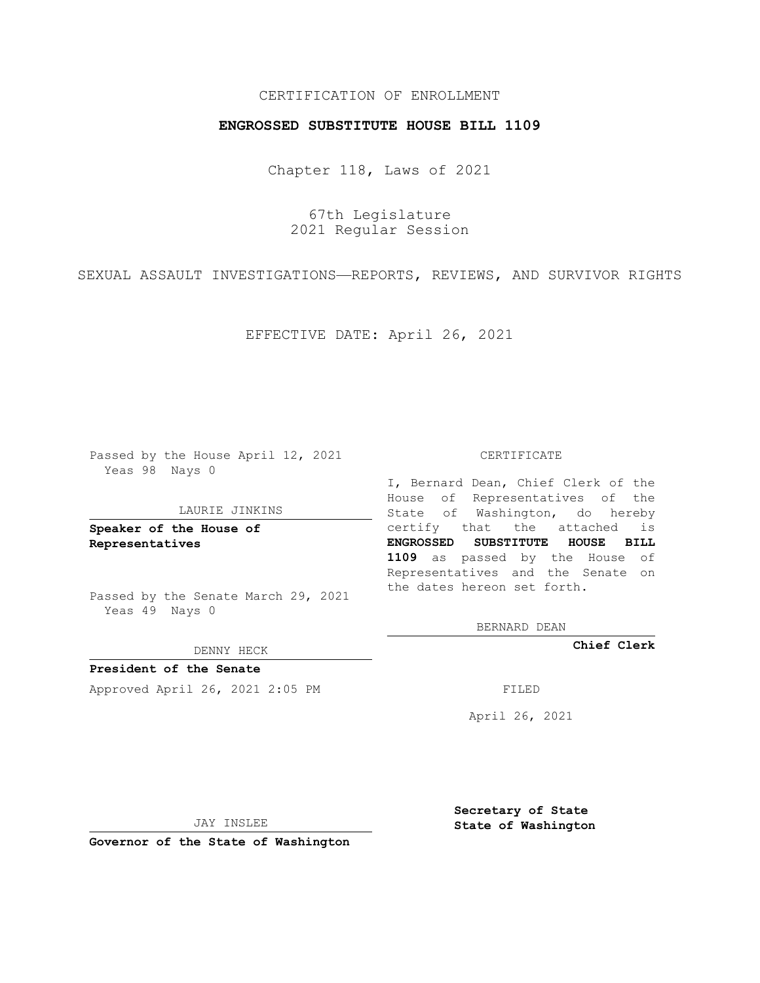## CERTIFICATION OF ENROLLMENT

## **ENGROSSED SUBSTITUTE HOUSE BILL 1109**

Chapter 118, Laws of 2021

67th Legislature 2021 Regular Session

SEXUAL ASSAULT INVESTIGATIONS—REPORTS, REVIEWS, AND SURVIVOR RIGHTS

EFFECTIVE DATE: April 26, 2021

Passed by the House April 12, 2021 Yeas 98 Nays 0

#### LAURIE JINKINS

**Speaker of the House of Representatives**

Passed by the Senate March 29, 2021 Yeas 49 Nays 0

#### DENNY HECK

**President of the Senate** Approved April 26, 2021 2:05 PM FILED

### CERTIFICATE

I, Bernard Dean, Chief Clerk of the House of Representatives of the State of Washington, do hereby certify that the attached is **ENGROSSED SUBSTITUTE HOUSE BILL 1109** as passed by the House of Representatives and the Senate on the dates hereon set forth.

BERNARD DEAN

**Chief Clerk**

April 26, 2021

JAY INSLEE

**Governor of the State of Washington**

**Secretary of State State of Washington**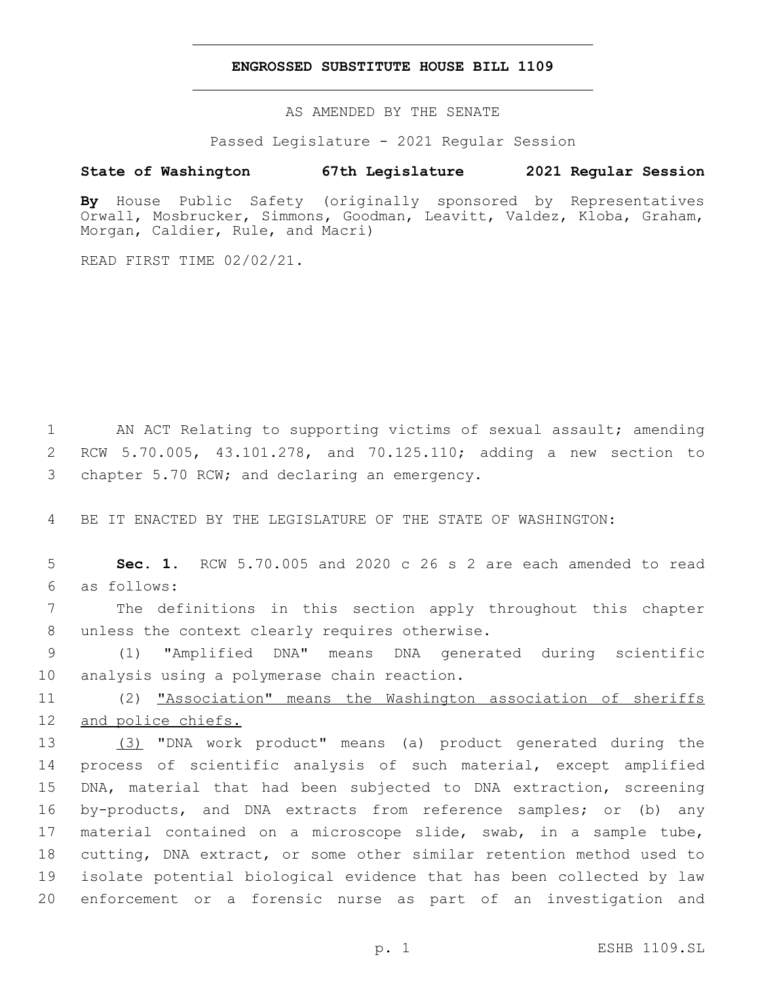### **ENGROSSED SUBSTITUTE HOUSE BILL 1109**

AS AMENDED BY THE SENATE

Passed Legislature - 2021 Regular Session

# **State of Washington 67th Legislature 2021 Regular Session**

**By** House Public Safety (originally sponsored by Representatives Orwall, Mosbrucker, Simmons, Goodman, Leavitt, Valdez, Kloba, Graham, Morgan, Caldier, Rule, and Macri)

READ FIRST TIME 02/02/21.

1 AN ACT Relating to supporting victims of sexual assault; amending 2 RCW 5.70.005, 43.101.278, and 70.125.110; adding a new section to 3 chapter 5.70 RCW; and declaring an emergency.

4 BE IT ENACTED BY THE LEGISLATURE OF THE STATE OF WASHINGTON:

5 **Sec. 1.** RCW 5.70.005 and 2020 c 26 s 2 are each amended to read as follows:6

7 The definitions in this section apply throughout this chapter 8 unless the context clearly requires otherwise.

9 (1) "Amplified DNA" means DNA generated during scientific 10 analysis using a polymerase chain reaction.

11 (2) "Association" means the Washington association of sheriffs 12 and police chiefs.

 (3) "DNA work product" means (a) product generated during the process of scientific analysis of such material, except amplified DNA, material that had been subjected to DNA extraction, screening by-products, and DNA extracts from reference samples; or (b) any material contained on a microscope slide, swab, in a sample tube, cutting, DNA extract, or some other similar retention method used to isolate potential biological evidence that has been collected by law enforcement or a forensic nurse as part of an investigation and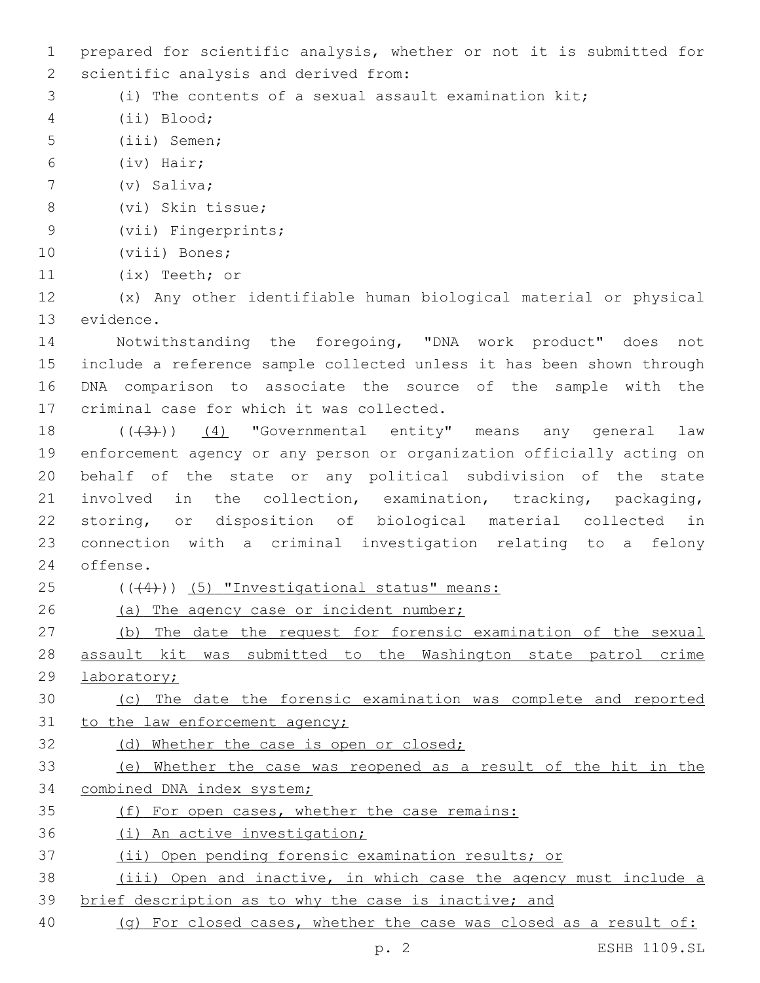1 prepared for scientific analysis, whether or not it is submitted for 2 scientific analysis and derived from: 3 (i) The contents of a sexual assault examination kit; (ii) Blood;4 5 (iii) Semen; (iv) Hair;6 7 (v) Saliva; 8 (vi) Skin tissue; 9 (vii) Fingerprints; 10 (viii) Bones; 11 (ix) Teeth; or 12 (x) Any other identifiable human biological material or physical 13 evidence. 14 Notwithstanding the foregoing, "DNA work product" does not 15 include a reference sample collected unless it has been shown through 16 DNA comparison to associate the source of the sample with the 17 criminal case for which it was collected. 18 (((43)) (4) "Governmental entity" means any general law 19 enforcement agency or any person or organization officially acting on 20 behalf of the state or any political subdivision of the state 21 involved in the collection, examination, tracking, packaging, 22 storing, or disposition of biological material collected in 23 connection with a criminal investigation relating to a felony 24 offense. 25 ((+4))) (5) "Investigational status" means: 26 (a) The agency case or incident number; 27 (b) The date the request for forensic examination of the sexual 28 assault kit was submitted to the Washington state patrol crime 29 laboratory; 30 (c) The date the forensic examination was complete and reported 31 to the law enforcement agency; 32 (d) Whether the case is open or closed; 33 (e) Whether the case was reopened as a result of the hit in the 34 combined DNA index system; 35 (f) For open cases, whether the case remains: 36 (i) An active investigation; 37 (ii) Open pending forensic examination results; or 38 (iii) Open and inactive, in which case the agency must include a 39 brief description as to why the case is inactive; and 40 (g) For closed cases, whether the case was closed as a result of:

p. 2 ESHB 1109.SL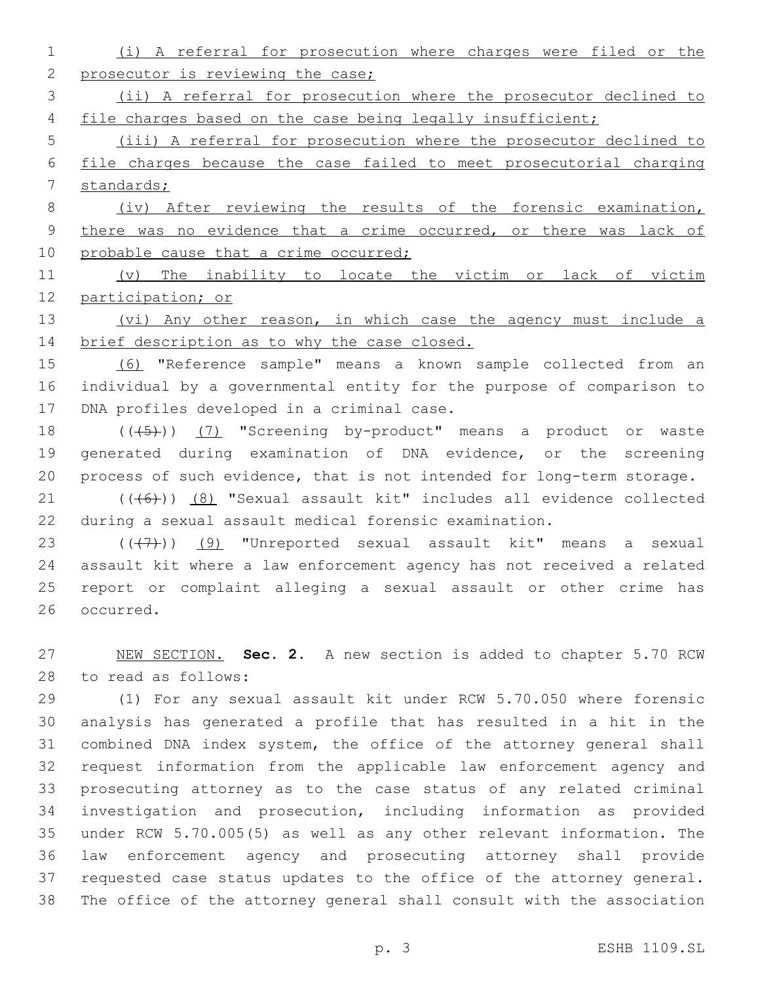(i) A referral for prosecution where charges were filed or the 2 prosecutor is reviewing the case;

 (ii) A referral for prosecution where the prosecutor declined to 4 file charges based on the case being legally insufficient;

 (iii) A referral for prosecution where the prosecutor declined to file charges because the case failed to meet prosecutorial charging standards;

 (iv) After reviewing the results of the forensic examination, 9 there was no evidence that a crime occurred, or there was lack of 10 probable cause that a crime occurred;

 (v) The inability to locate the victim or lack of victim participation; or

 (vi) Any other reason, in which case the agency must include a 14 brief description as to why the case closed.

 (6) "Reference sample" means a known sample collected from an individual by a governmental entity for the purpose of comparison to 17 DNA profiles developed in a criminal case.

18 (((45)) (7) "Screening by-product" means a product or waste generated during examination of DNA evidence, or the screening process of such evidence, that is not intended for long-term storage.

21 (((6)) (8) "Sexual assault kit" includes all evidence collected during a sexual assault medical forensic examination.

 $((+7+))$  (9) "Unreported sexual assault kit" means a sexual assault kit where a law enforcement agency has not received a related report or complaint alleging a sexual assault or other crime has 26 occurred.

 NEW SECTION. **Sec. 2.** A new section is added to chapter 5.70 RCW 28 to read as follows:

 (1) For any sexual assault kit under RCW 5.70.050 where forensic analysis has generated a profile that has resulted in a hit in the combined DNA index system, the office of the attorney general shall request information from the applicable law enforcement agency and prosecuting attorney as to the case status of any related criminal investigation and prosecution, including information as provided under RCW 5.70.005(5) as well as any other relevant information. The law enforcement agency and prosecuting attorney shall provide requested case status updates to the office of the attorney general. The office of the attorney general shall consult with the association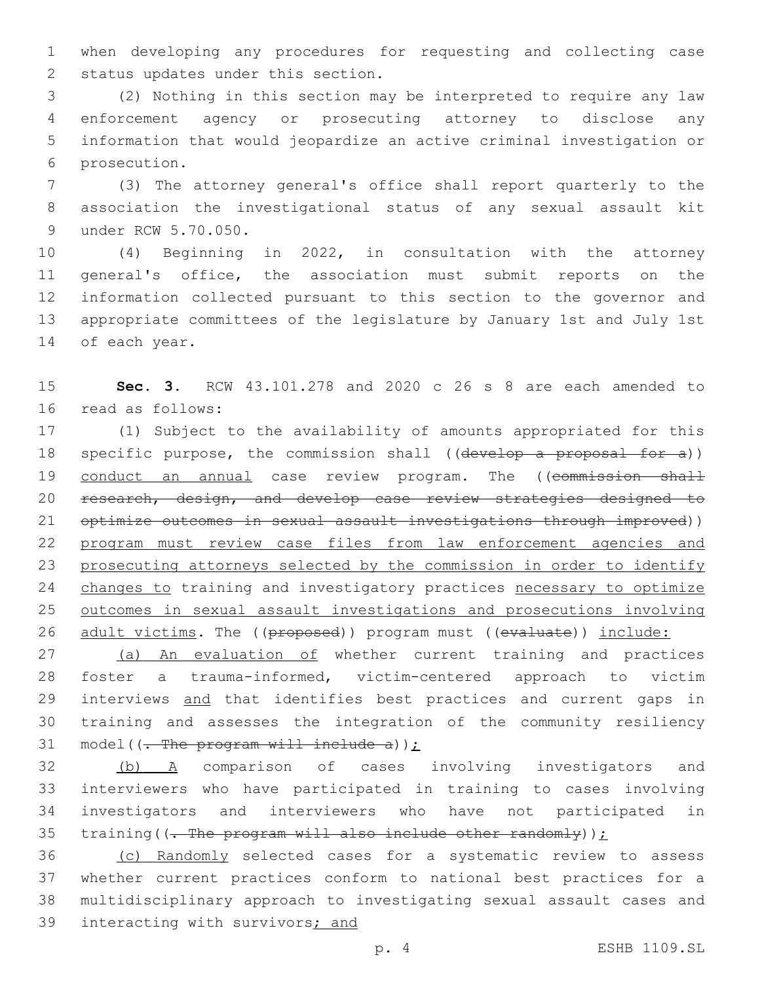when developing any procedures for requesting and collecting case 2 status updates under this section.

 (2) Nothing in this section may be interpreted to require any law enforcement agency or prosecuting attorney to disclose any information that would jeopardize an active criminal investigation or 6 prosecution.

 (3) The attorney general's office shall report quarterly to the association the investigational status of any sexual assault kit 9 under RCW 5.70.050.

 (4) Beginning in 2022, in consultation with the attorney general's office, the association must submit reports on the information collected pursuant to this section to the governor and appropriate committees of the legislature by January 1st and July 1st 14 of each year.

 **Sec. 3.** RCW 43.101.278 and 2020 c 26 s 8 are each amended to 16 read as follows:

 (1) Subject to the availability of amounts appropriated for this 18 specific purpose, the commission shall ((develop a proposal for a)) 19 conduct an annual case review program. The ((commission shall 20 research, design, and develop case review strategies designed to optimize outcomes in sexual assault investigations through improved)) program must review case files from law enforcement agencies and prosecuting attorneys selected by the commission in order to identify 24 changes to training and investigatory practices necessary to optimize outcomes in sexual assault investigations and prosecutions involving 26 adult victims. The ((proposed)) program must ((evaluate)) include:

27 (a) An evaluation of whether current training and practices foster a trauma-informed, victim-centered approach to victim 29 interviews and that identifies best practices and current gaps in training and assesses the integration of the community resiliency 31 model( $(-$ The program will include a));

 (b) A comparison of cases involving investigators and interviewers who have participated in training to cases involving investigators and interviewers who have not participated in 35 training( $(-$ The program will also include other randomly));

 (c) Randomly selected cases for a systematic review to assess whether current practices conform to national best practices for a multidisciplinary approach to investigating sexual assault cases and interacting with survivors; and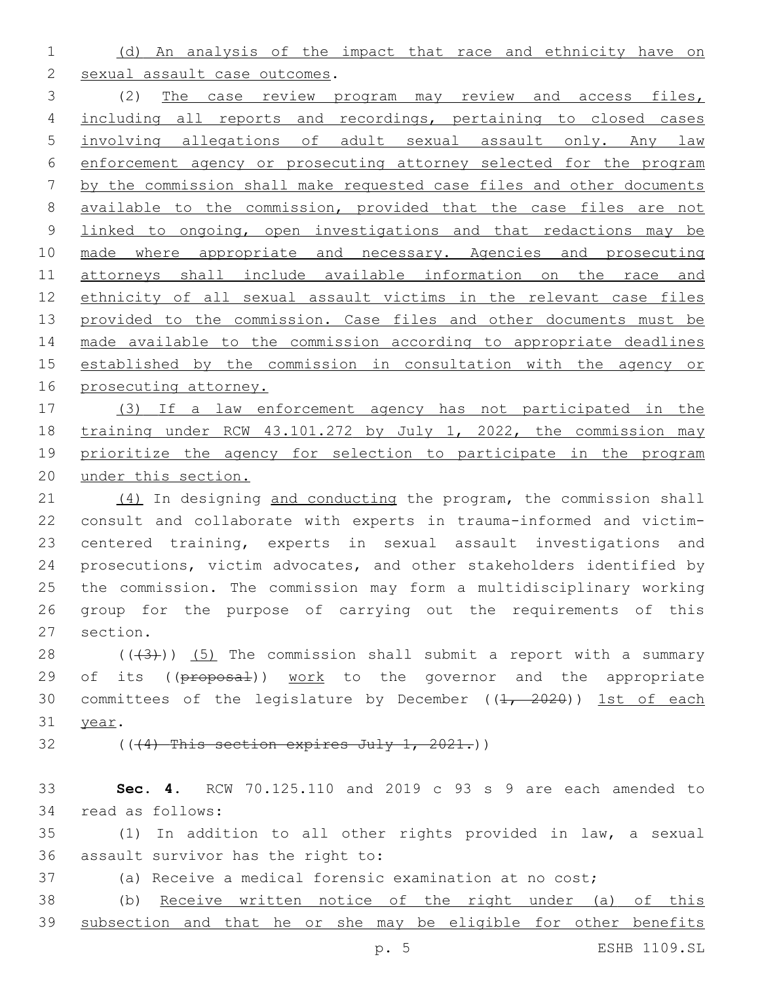(d) An analysis of the impact that race and ethnicity have on

2 sexual assault case outcomes.

 (2) The case review program may review and access files, including all reports and recordings, pertaining to closed cases involving allegations of adult sexual assault only. Any law enforcement agency or prosecuting attorney selected for the program by the commission shall make requested case files and other documents available to the commission, provided that the case files are not 9 linked to ongoing, open investigations and that redactions may be made where appropriate and necessary. Agencies and prosecuting attorneys shall include available information on the race and ethnicity of all sexual assault victims in the relevant case files 13 provided to the commission. Case files and other documents must be made available to the commission according to appropriate deadlines established by the commission in consultation with the agency or 16 prosecuting attorney.

 (3) If a law enforcement agency has not participated in the training under RCW 43.101.272 by July 1, 2022, the commission may prioritize the agency for selection to participate in the program under this section.

21 (4) In designing and conducting the program, the commission shall consult and collaborate with experts in trauma-informed and victim- centered training, experts in sexual assault investigations and prosecutions, victim advocates, and other stakeholders identified by the commission. The commission may form a multidisciplinary working group for the purpose of carrying out the requirements of this 27 section.

28  $((+3))$   $(5)$  The commission shall submit a report with a summary 29 of its ((proposal)) work to the governor and the appropriate 30 committees of the legislature by December  $((1, 2020))$  1st of each 31 year.

(( $(4)$  This section expires July 1, 2021.))

 **Sec. 4.** RCW 70.125.110 and 2019 c 93 s 9 are each amended to 34 read as follows:

 (1) In addition to all other rights provided in law, a sexual 36 assault survivor has the right to:

(a) Receive a medical forensic examination at no cost;

 (b) Receive written notice of the right under (a) of this subsection and that he or she may be eligible for other benefits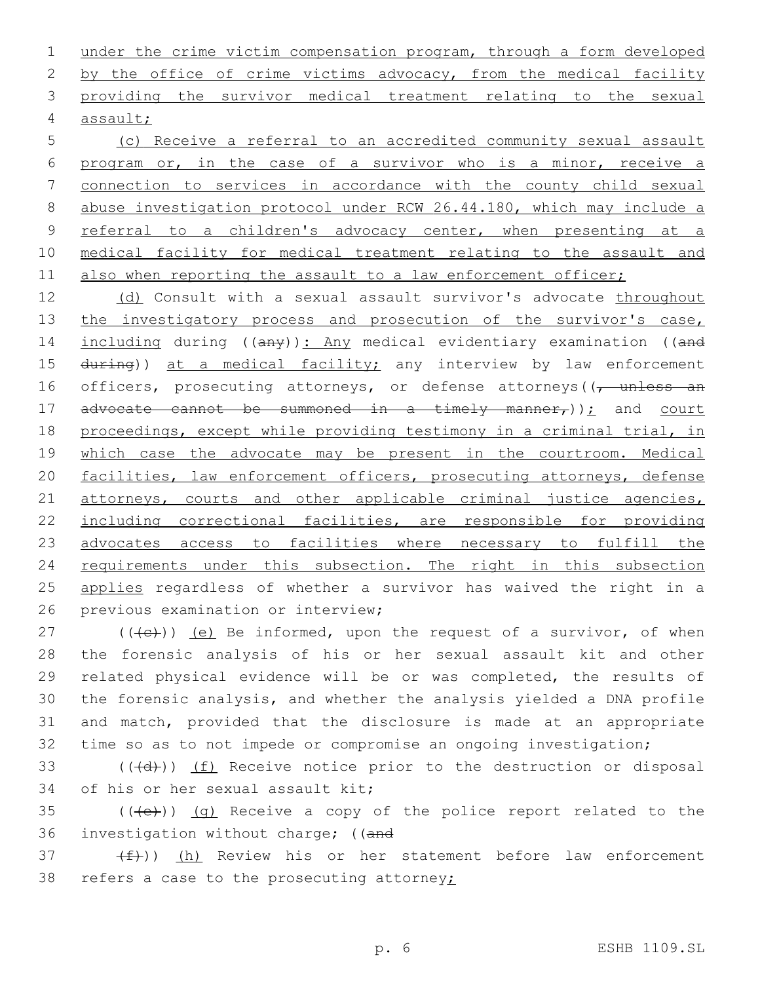1 under the crime victim compensation program, through a form developed 2 by the office of crime victims advocacy, from the medical facility 3 providing the survivor medical treatment relating to the sexual assault;4

 (c) Receive a referral to an accredited community sexual assault program or, in the case of a survivor who is a minor, receive a connection to services in accordance with the county child sexual abuse investigation protocol under RCW 26.44.180, which may include a referral to a children's advocacy center, when presenting at a medical facility for medical treatment relating to the assault and 11 also when reporting the assault to a law enforcement officer;

12 (d) Consult with a sexual assault survivor's advocate throughout 13 the investigatory process and prosecution of the survivor's case, 14 including during ((any)): Any medical evidentiary examination ((and 15 during)) at a medical facility; any interview by law enforcement 16 officers, prosecuting attorneys, or defense attorneys ((, unless an 17 advocate cannot be summoned in a timely manner,  $)$ ; and court 18 proceedings, except while providing testimony in a criminal trial, in 19 which case the advocate may be present in the courtroom. Medical 20 facilities, law enforcement officers, prosecuting attorneys, defense 21 attorneys, courts and other applicable criminal justice agencies, 22 including correctional facilities, are responsible for providing 23 advocates access to facilities where necessary to fulfill the 24 requirements under this subsection. The right in this subsection 25 applies regardless of whether a survivor has waived the right in a 26 previous examination or interview;

 (( $\left(\frac{1}{2}\right)$ ) (e) Be informed, upon the request of a survivor, of when the forensic analysis of his or her sexual assault kit and other related physical evidence will be or was completed, the results of the forensic analysis, and whether the analysis yielded a DNA profile and match, provided that the disclosure is made at an appropriate time so as to not impede or compromise an ongoing investigation;

 $(4d)$ ) (f) Receive notice prior to the destruction or disposal 34 of his or her sexual assault kit;

 $35$  (( $\left(\frac{1}{12}\right)$ ) (q) Receive a copy of the police report related to the 36 investigation without charge; ((and

 $(37 + f)$ ) (h) Review his or her statement before law enforcement 38 refers a case to the prosecuting attorney $\ddot{z}$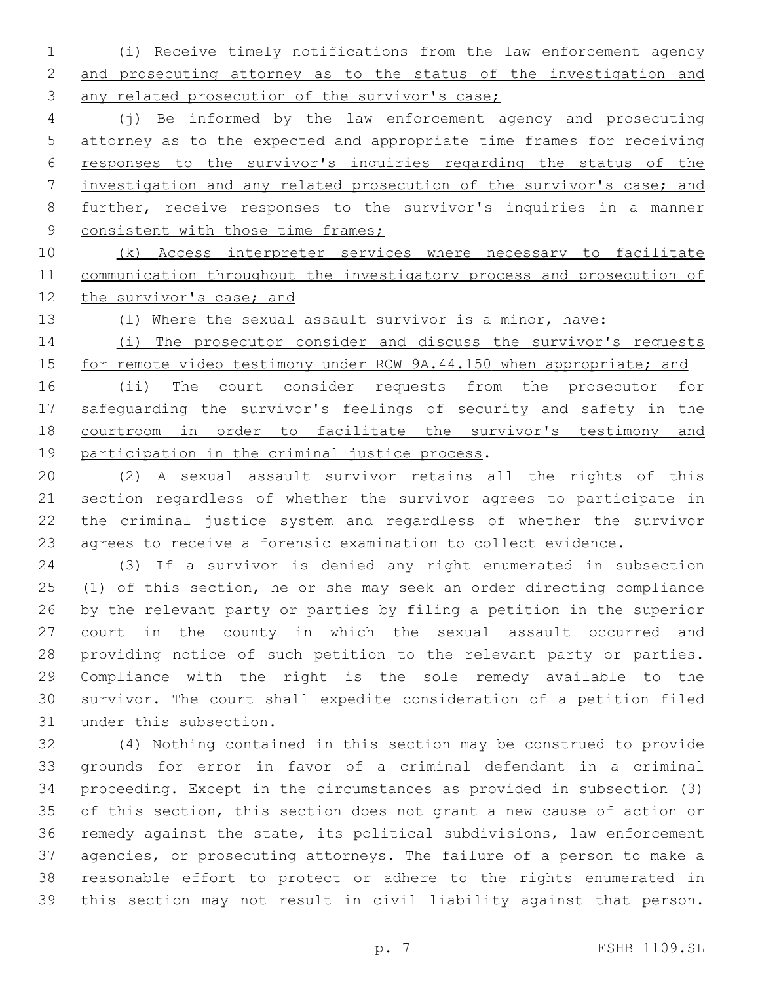(i) Receive timely notifications from the law enforcement agency and prosecuting attorney as to the status of the investigation and 3 any related prosecution of the survivor's case;

 (j) Be informed by the law enforcement agency and prosecuting attorney as to the expected and appropriate time frames for receiving responses to the survivor's inquiries regarding the status of the investigation and any related prosecution of the survivor's case; and further, receive responses to the survivor's inquiries in a manner 9 consistent with those time frames;

 (k) Access interpreter services where necessary to facilitate communication throughout the investigatory process and prosecution of 12 the survivor's case; and

13 (1) Where the sexual assault survivor is a minor, have:

 (i) The prosecutor consider and discuss the survivor's requests 15 for remote video testimony under RCW 9A.44.150 when appropriate; and

16 (ii) The court consider requests from the prosecutor for safeguarding the survivor's feelings of security and safety in the courtroom in order to facilitate the survivor's testimony and 19 participation in the criminal justice process.

 (2) A sexual assault survivor retains all the rights of this section regardless of whether the survivor agrees to participate in the criminal justice system and regardless of whether the survivor agrees to receive a forensic examination to collect evidence.

 (3) If a survivor is denied any right enumerated in subsection (1) of this section, he or she may seek an order directing compliance by the relevant party or parties by filing a petition in the superior court in the county in which the sexual assault occurred and providing notice of such petition to the relevant party or parties. Compliance with the right is the sole remedy available to the survivor. The court shall expedite consideration of a petition filed 31 under this subsection.

 (4) Nothing contained in this section may be construed to provide grounds for error in favor of a criminal defendant in a criminal proceeding. Except in the circumstances as provided in subsection (3) of this section, this section does not grant a new cause of action or remedy against the state, its political subdivisions, law enforcement agencies, or prosecuting attorneys. The failure of a person to make a reasonable effort to protect or adhere to the rights enumerated in this section may not result in civil liability against that person.